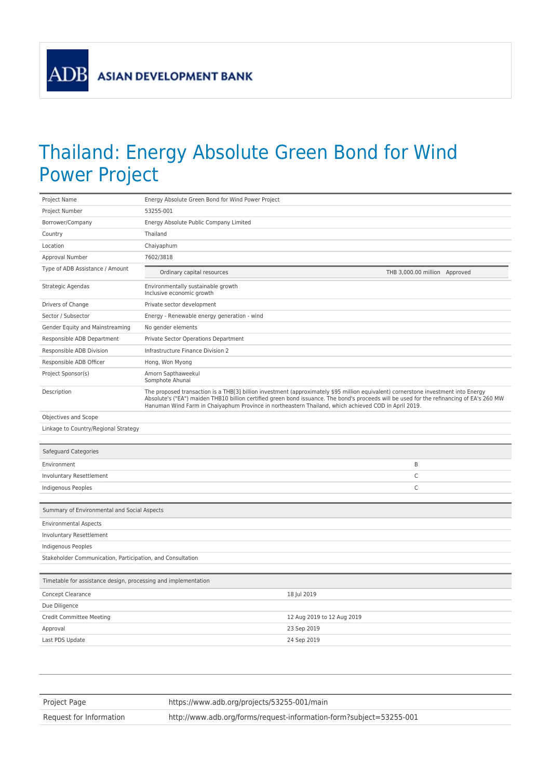**ADB** ASIAN DEVELOPMENT BANK

## Thailand: Energy Absolute Green Bond for Wind Power Project

| 53255-001<br>Project Number<br>Borrower/Company<br>Energy Absolute Public Company Limited<br>Thailand<br>Country<br>Location<br>Chaiyaphum<br>Approval Number<br>7602/3818<br>Type of ADB Assistance / Amount<br>Ordinary capital resources<br>THB 3,000.00 million Approved<br>Environmentally sustainable growth<br>Strategic Agendas<br>Inclusive economic growth<br>Drivers of Change<br>Private sector development<br>Sector / Subsector<br>Energy - Renewable energy generation - wind<br>Gender Equity and Mainstreaming<br>No gender elements<br>Responsible ADB Department<br>Private Sector Operations Department<br>Responsible ADB Division<br>Infrastructure Finance Division 2<br>Responsible ADB Officer<br>Hong, Won Myong<br>Project Sponsor(s)<br>Amorn Sapthaweekul<br>Somphote Ahunai<br>The proposed transaction is a THB[3] billion investment (approximately \$95 million equivalent) cornerstone investment into Energy<br>Description<br>Absolute's ("EA") maiden THB10 billion certified green bond issuance. The bond's proceeds will be used for the refinancing of EA's 260 MW<br>Hanuman Wind Farm in Chaiyaphum Province in northeastern Thailand, which achieved COD in April 2019.<br>Objectives and Scope<br>Linkage to Country/Regional Strategy<br>Safeguard Categories<br>Environment<br>B<br>C<br>Involuntary Resettlement<br>C<br>Indigenous Peoples<br>Summary of Environmental and Social Aspects<br><b>Environmental Aspects</b><br>Involuntary Resettlement<br>Indigenous Peoples<br>Stakeholder Communication, Participation, and Consultation<br>Timetable for assistance design, processing and implementation<br>18 Jul 2019<br>Concept Clearance<br>Due Diligence<br>Credit Committee Meeting<br>12 Aug 2019 to 12 Aug 2019<br>Approval<br>23 Sep 2019<br>Last PDS Update<br>24 Sep 2019 | Project Name | Energy Absolute Green Bond for Wind Power Project |  |  |
|------------------------------------------------------------------------------------------------------------------------------------------------------------------------------------------------------------------------------------------------------------------------------------------------------------------------------------------------------------------------------------------------------------------------------------------------------------------------------------------------------------------------------------------------------------------------------------------------------------------------------------------------------------------------------------------------------------------------------------------------------------------------------------------------------------------------------------------------------------------------------------------------------------------------------------------------------------------------------------------------------------------------------------------------------------------------------------------------------------------------------------------------------------------------------------------------------------------------------------------------------------------------------------------------------------------------------------------------------------------------------------------------------------------------------------------------------------------------------------------------------------------------------------------------------------------------------------------------------------------------------------------------------------------------------------------------------------------------------------------------------------------------------------------------------------------------------------------|--------------|---------------------------------------------------|--|--|
|                                                                                                                                                                                                                                                                                                                                                                                                                                                                                                                                                                                                                                                                                                                                                                                                                                                                                                                                                                                                                                                                                                                                                                                                                                                                                                                                                                                                                                                                                                                                                                                                                                                                                                                                                                                                                                          |              |                                                   |  |  |
|                                                                                                                                                                                                                                                                                                                                                                                                                                                                                                                                                                                                                                                                                                                                                                                                                                                                                                                                                                                                                                                                                                                                                                                                                                                                                                                                                                                                                                                                                                                                                                                                                                                                                                                                                                                                                                          |              |                                                   |  |  |
|                                                                                                                                                                                                                                                                                                                                                                                                                                                                                                                                                                                                                                                                                                                                                                                                                                                                                                                                                                                                                                                                                                                                                                                                                                                                                                                                                                                                                                                                                                                                                                                                                                                                                                                                                                                                                                          |              |                                                   |  |  |
|                                                                                                                                                                                                                                                                                                                                                                                                                                                                                                                                                                                                                                                                                                                                                                                                                                                                                                                                                                                                                                                                                                                                                                                                                                                                                                                                                                                                                                                                                                                                                                                                                                                                                                                                                                                                                                          |              |                                                   |  |  |
|                                                                                                                                                                                                                                                                                                                                                                                                                                                                                                                                                                                                                                                                                                                                                                                                                                                                                                                                                                                                                                                                                                                                                                                                                                                                                                                                                                                                                                                                                                                                                                                                                                                                                                                                                                                                                                          |              |                                                   |  |  |
|                                                                                                                                                                                                                                                                                                                                                                                                                                                                                                                                                                                                                                                                                                                                                                                                                                                                                                                                                                                                                                                                                                                                                                                                                                                                                                                                                                                                                                                                                                                                                                                                                                                                                                                                                                                                                                          |              |                                                   |  |  |
|                                                                                                                                                                                                                                                                                                                                                                                                                                                                                                                                                                                                                                                                                                                                                                                                                                                                                                                                                                                                                                                                                                                                                                                                                                                                                                                                                                                                                                                                                                                                                                                                                                                                                                                                                                                                                                          |              |                                                   |  |  |
|                                                                                                                                                                                                                                                                                                                                                                                                                                                                                                                                                                                                                                                                                                                                                                                                                                                                                                                                                                                                                                                                                                                                                                                                                                                                                                                                                                                                                                                                                                                                                                                                                                                                                                                                                                                                                                          |              |                                                   |  |  |
|                                                                                                                                                                                                                                                                                                                                                                                                                                                                                                                                                                                                                                                                                                                                                                                                                                                                                                                                                                                                                                                                                                                                                                                                                                                                                                                                                                                                                                                                                                                                                                                                                                                                                                                                                                                                                                          |              |                                                   |  |  |
|                                                                                                                                                                                                                                                                                                                                                                                                                                                                                                                                                                                                                                                                                                                                                                                                                                                                                                                                                                                                                                                                                                                                                                                                                                                                                                                                                                                                                                                                                                                                                                                                                                                                                                                                                                                                                                          |              |                                                   |  |  |
|                                                                                                                                                                                                                                                                                                                                                                                                                                                                                                                                                                                                                                                                                                                                                                                                                                                                                                                                                                                                                                                                                                                                                                                                                                                                                                                                                                                                                                                                                                                                                                                                                                                                                                                                                                                                                                          |              |                                                   |  |  |
|                                                                                                                                                                                                                                                                                                                                                                                                                                                                                                                                                                                                                                                                                                                                                                                                                                                                                                                                                                                                                                                                                                                                                                                                                                                                                                                                                                                                                                                                                                                                                                                                                                                                                                                                                                                                                                          |              |                                                   |  |  |
|                                                                                                                                                                                                                                                                                                                                                                                                                                                                                                                                                                                                                                                                                                                                                                                                                                                                                                                                                                                                                                                                                                                                                                                                                                                                                                                                                                                                                                                                                                                                                                                                                                                                                                                                                                                                                                          |              |                                                   |  |  |
|                                                                                                                                                                                                                                                                                                                                                                                                                                                                                                                                                                                                                                                                                                                                                                                                                                                                                                                                                                                                                                                                                                                                                                                                                                                                                                                                                                                                                                                                                                                                                                                                                                                                                                                                                                                                                                          |              |                                                   |  |  |
|                                                                                                                                                                                                                                                                                                                                                                                                                                                                                                                                                                                                                                                                                                                                                                                                                                                                                                                                                                                                                                                                                                                                                                                                                                                                                                                                                                                                                                                                                                                                                                                                                                                                                                                                                                                                                                          |              |                                                   |  |  |
|                                                                                                                                                                                                                                                                                                                                                                                                                                                                                                                                                                                                                                                                                                                                                                                                                                                                                                                                                                                                                                                                                                                                                                                                                                                                                                                                                                                                                                                                                                                                                                                                                                                                                                                                                                                                                                          |              |                                                   |  |  |
|                                                                                                                                                                                                                                                                                                                                                                                                                                                                                                                                                                                                                                                                                                                                                                                                                                                                                                                                                                                                                                                                                                                                                                                                                                                                                                                                                                                                                                                                                                                                                                                                                                                                                                                                                                                                                                          |              |                                                   |  |  |
|                                                                                                                                                                                                                                                                                                                                                                                                                                                                                                                                                                                                                                                                                                                                                                                                                                                                                                                                                                                                                                                                                                                                                                                                                                                                                                                                                                                                                                                                                                                                                                                                                                                                                                                                                                                                                                          |              |                                                   |  |  |
|                                                                                                                                                                                                                                                                                                                                                                                                                                                                                                                                                                                                                                                                                                                                                                                                                                                                                                                                                                                                                                                                                                                                                                                                                                                                                                                                                                                                                                                                                                                                                                                                                                                                                                                                                                                                                                          |              |                                                   |  |  |
|                                                                                                                                                                                                                                                                                                                                                                                                                                                                                                                                                                                                                                                                                                                                                                                                                                                                                                                                                                                                                                                                                                                                                                                                                                                                                                                                                                                                                                                                                                                                                                                                                                                                                                                                                                                                                                          |              |                                                   |  |  |
|                                                                                                                                                                                                                                                                                                                                                                                                                                                                                                                                                                                                                                                                                                                                                                                                                                                                                                                                                                                                                                                                                                                                                                                                                                                                                                                                                                                                                                                                                                                                                                                                                                                                                                                                                                                                                                          |              |                                                   |  |  |
|                                                                                                                                                                                                                                                                                                                                                                                                                                                                                                                                                                                                                                                                                                                                                                                                                                                                                                                                                                                                                                                                                                                                                                                                                                                                                                                                                                                                                                                                                                                                                                                                                                                                                                                                                                                                                                          |              |                                                   |  |  |
|                                                                                                                                                                                                                                                                                                                                                                                                                                                                                                                                                                                                                                                                                                                                                                                                                                                                                                                                                                                                                                                                                                                                                                                                                                                                                                                                                                                                                                                                                                                                                                                                                                                                                                                                                                                                                                          |              |                                                   |  |  |
|                                                                                                                                                                                                                                                                                                                                                                                                                                                                                                                                                                                                                                                                                                                                                                                                                                                                                                                                                                                                                                                                                                                                                                                                                                                                                                                                                                                                                                                                                                                                                                                                                                                                                                                                                                                                                                          |              |                                                   |  |  |
|                                                                                                                                                                                                                                                                                                                                                                                                                                                                                                                                                                                                                                                                                                                                                                                                                                                                                                                                                                                                                                                                                                                                                                                                                                                                                                                                                                                                                                                                                                                                                                                                                                                                                                                                                                                                                                          |              |                                                   |  |  |
|                                                                                                                                                                                                                                                                                                                                                                                                                                                                                                                                                                                                                                                                                                                                                                                                                                                                                                                                                                                                                                                                                                                                                                                                                                                                                                                                                                                                                                                                                                                                                                                                                                                                                                                                                                                                                                          |              |                                                   |  |  |
|                                                                                                                                                                                                                                                                                                                                                                                                                                                                                                                                                                                                                                                                                                                                                                                                                                                                                                                                                                                                                                                                                                                                                                                                                                                                                                                                                                                                                                                                                                                                                                                                                                                                                                                                                                                                                                          |              |                                                   |  |  |
|                                                                                                                                                                                                                                                                                                                                                                                                                                                                                                                                                                                                                                                                                                                                                                                                                                                                                                                                                                                                                                                                                                                                                                                                                                                                                                                                                                                                                                                                                                                                                                                                                                                                                                                                                                                                                                          |              |                                                   |  |  |
|                                                                                                                                                                                                                                                                                                                                                                                                                                                                                                                                                                                                                                                                                                                                                                                                                                                                                                                                                                                                                                                                                                                                                                                                                                                                                                                                                                                                                                                                                                                                                                                                                                                                                                                                                                                                                                          |              |                                                   |  |  |
|                                                                                                                                                                                                                                                                                                                                                                                                                                                                                                                                                                                                                                                                                                                                                                                                                                                                                                                                                                                                                                                                                                                                                                                                                                                                                                                                                                                                                                                                                                                                                                                                                                                                                                                                                                                                                                          |              |                                                   |  |  |
|                                                                                                                                                                                                                                                                                                                                                                                                                                                                                                                                                                                                                                                                                                                                                                                                                                                                                                                                                                                                                                                                                                                                                                                                                                                                                                                                                                                                                                                                                                                                                                                                                                                                                                                                                                                                                                          |              |                                                   |  |  |
|                                                                                                                                                                                                                                                                                                                                                                                                                                                                                                                                                                                                                                                                                                                                                                                                                                                                                                                                                                                                                                                                                                                                                                                                                                                                                                                                                                                                                                                                                                                                                                                                                                                                                                                                                                                                                                          |              |                                                   |  |  |
|                                                                                                                                                                                                                                                                                                                                                                                                                                                                                                                                                                                                                                                                                                                                                                                                                                                                                                                                                                                                                                                                                                                                                                                                                                                                                                                                                                                                                                                                                                                                                                                                                                                                                                                                                                                                                                          |              |                                                   |  |  |
|                                                                                                                                                                                                                                                                                                                                                                                                                                                                                                                                                                                                                                                                                                                                                                                                                                                                                                                                                                                                                                                                                                                                                                                                                                                                                                                                                                                                                                                                                                                                                                                                                                                                                                                                                                                                                                          |              |                                                   |  |  |
|                                                                                                                                                                                                                                                                                                                                                                                                                                                                                                                                                                                                                                                                                                                                                                                                                                                                                                                                                                                                                                                                                                                                                                                                                                                                                                                                                                                                                                                                                                                                                                                                                                                                                                                                                                                                                                          |              |                                                   |  |  |

| Project Page            | https://www.adb.org/projects/53255-001/main                         |
|-------------------------|---------------------------------------------------------------------|
| Request for Information | http://www.adb.org/forms/request-information-form?subject=53255-001 |
|                         |                                                                     |